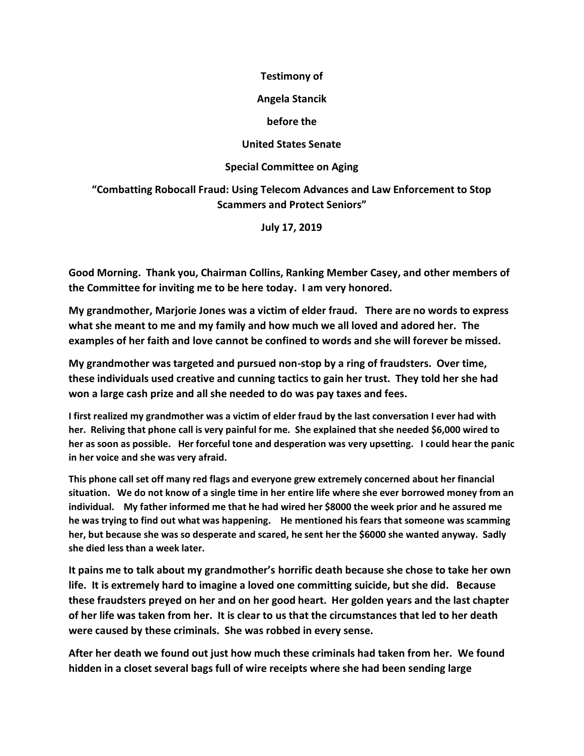### **Testimony of**

### **Angela Stancik**

### **before the**

## **United States Senate**

## **Special Committee on Aging**

# **"Combatting Robocall Fraud: Using Telecom Advances and Law Enforcement to Stop Scammers and Protect Seniors"**

**July 17, 2019**

**Good Morning. Thank you, Chairman Collins, Ranking Member Casey, and other members of the Committee for inviting me to be here today. I am very honored.**

**My grandmother, Marjorie Jones was a victim of elder fraud. There are no words to express what she meant to me and my family and how much we all loved and adored her. The examples of her faith and love cannot be confined to words and she will forever be missed.**

**My grandmother was targeted and pursued non-stop by a ring of fraudsters. Over time, these individuals used creative and cunning tactics to gain her trust. They told her she had won a large cash prize and all she needed to do was pay taxes and fees.**

**I first realized my grandmother was a victim of elder fraud by the last conversation I ever had with her. Reliving that phone call is very painful for me. She explained that she needed \$6,000 wired to her as soon as possible. Her forceful tone and desperation was very upsetting. I could hear the panic in her voice and she was very afraid.** 

**This phone call set off many red flags and everyone grew extremely concerned about her financial situation. We do not know of a single time in her entire life where she ever borrowed money from an individual. My father informed me that he had wired her \$8000 the week prior and he assured me he was trying to find out what was happening. He mentioned his fears that someone was scamming her, but because she was so desperate and scared, he sent her the \$6000 she wanted anyway. Sadly she died less than a week later.** 

**It pains me to talk about my grandmother's horrific death because she chose to take her own life. It is extremely hard to imagine a loved one committing suicide, but she did. Because these fraudsters preyed on her and on her good heart. Her golden years and the last chapter of her life was taken from her. It is clear to us that the circumstances that led to her death were caused by these criminals. She was robbed in every sense.** 

**After her death we found out just how much these criminals had taken from her. We found hidden in a closet several bags full of wire receipts where she had been sending large**